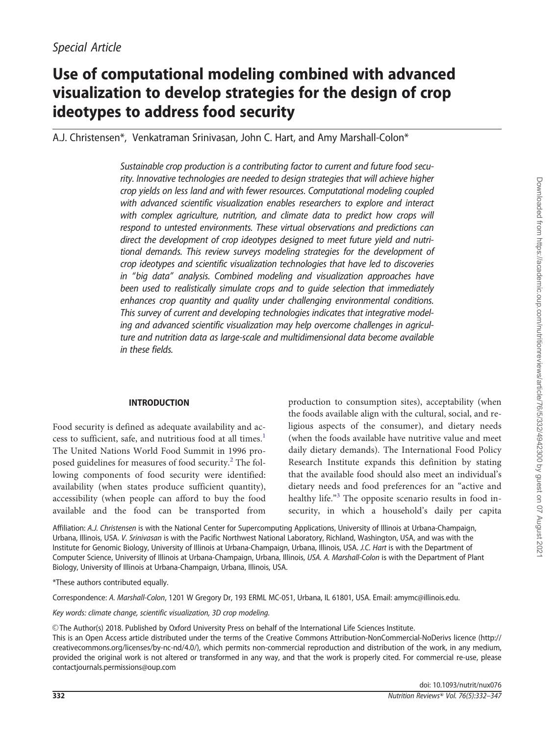# Use of computational modeling combined with advanced visualization to develop strategies for the design of crop ideotypes to address food security

A.J. Christensen\*, Venkatraman Srinivasan, John C. Hart, and Amy Marshall-Colon\*

*Sustainable crop production is a contributing factor to current and future food security. Innovative technologies are needed to design strategies that will achieve higher crop yields on less land and with fewer resources. Computational modeling coupled with advanced scientific visualization enables researchers to explore and interact* with complex agriculture, nutrition, and climate data to predict how crops will *respond to untested environments. These virtual observations and predictions can direct the development of crop ideotypes designed to meet future yield and nutritional demands. This review surveys modeling strategies for the development of crop ideotypes and scientific visualization technologies that have led to discoveries in "big data" analysis. Combined modeling and visualization approaches have been used to realistically simulate crops and to guide selection that immediately enhances crop quantity and quality under challenging environmental conditions. This survey of current and developing technologies indicates that integrative modeling and advanced scientific visualization may help overcome challenges in agriculture and nutrition data as large-scale and multidimensional data become available in these fields.*

## INTRODUCTION

Food security is defined as adequate availability and access to sufficient, safe, and nutritious food at all times.<sup>1</sup> The United Nations World Food Summit in 1996 proposed guidelines for measures of food security.<sup>2</sup> The following components of food security were identified: availability (when states produce sufficient quantity), accessibility (when people can afford to buy the food available and the food can be transported from

production to consumption sites), acceptability (when the foods available align with the cultural, social, and religious aspects of the consumer), and dietary needs (when the foods available have nutritive value and meet daily dietary demands). The International Food Policy Research Institute expands this definition by stating that the available food should also meet an individual's dietary needs and food preferences for an "active and healthy life."<sup>3</sup> The opposite scenario results in food insecurity, in which a household's daily per capita

Affiliation: *A.J. Christensen* is with the National Center for Supercomputing Applications, University of Illinois at Urbana-Champaign, Urbana, Illinois, USA. *V. Srinivasan* is with the Pacific Northwest National Laboratory, Richland, Washington, USA, and was with the Institute for Genomic Biology, University of Illinois at Urbana-Champaign, Urbana, Illinois, USA. *J.C. Hart* is with the Department of Computer Science, University of Illinois at Urbana-Champaign, Urbana, Illinois, *USA. A. Marshall-Colon* is with the Department of Plant Biology, University of Illinois at Urbana-Champaign, Urbana, Illinois, USA.

\*These authors contributed equally.

Correspondence: *A. Marshall-Colon*, 1201 W Gregory Dr, 193 ERML MC-051, Urbana, IL 61801, USA. Email: amymc@illinois.edu.

*Key words: climate change, scientific visualization, 3D crop modeling.*

V<sup>C</sup> The Author(s) 2018. Published by Oxford University Press on behalf of the International Life Sciences Institute. This is an Open Access article distributed under the terms of the Creative Commons Attribution-NonCommercial-NoDerivs licence (http:// creativecommons.org/licenses/by-nc-nd/4.0/), which permits non-commercial reproduction and distribution of the work, in any medium, provided the original work is not altered or transformed in any way, and that the work is properly cited. For commercial re-use, please contactjournals.permissions@oup.com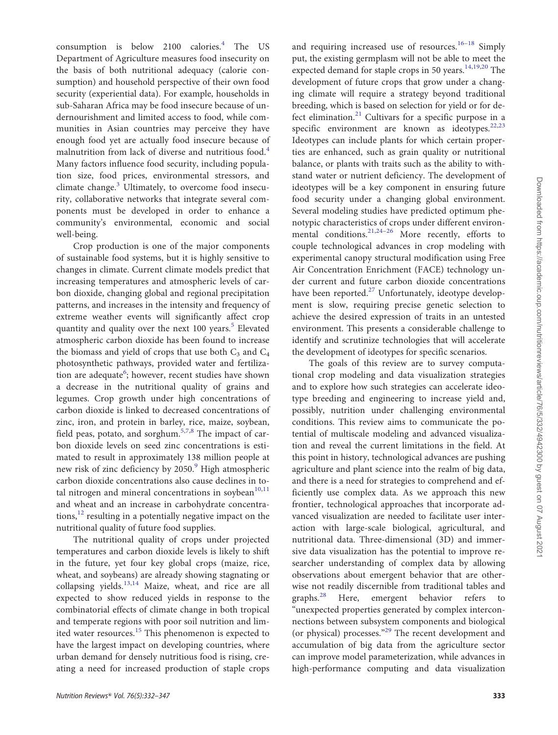consumption is below 2100 calories.<sup>4</sup> The US Department of Agriculture measures food insecurity on the basis of both nutritional adequacy (calorie consumption) and household perspective of their own food security (experiential data). For example, households in sub-Saharan Africa may be food insecure because of undernourishment and limited access to food, while communities in Asian countries may perceive they have enough food yet are actually food insecure because of malnutrition from lack of diverse and nutritious food.<sup>4</sup> Many factors influence food security, including population size, food prices, environmental stressors, and climate change.<sup>3</sup> Ultimately, to overcome food insecurity, collaborative networks that integrate several components must be developed in order to enhance a community's environmental, economic and social well-being.

Crop production is one of the major components of sustainable food systems, but it is highly sensitive to changes in climate. Current climate models predict that increasing temperatures and atmospheric levels of carbon dioxide, changing global and regional precipitation patterns, and increases in the intensity and frequency of extreme weather events will significantly affect crop quantity and quality over the next 100 years.<sup>5</sup> Elevated atmospheric carbon dioxide has been found to increase the biomass and yield of crops that use both  $C_3$  and  $C_4$ photosynthetic pathways, provided water and fertilization are adequate<sup>6</sup>; however, recent studies have shown a decrease in the nutritional quality of grains and legumes. Crop growth under high concentrations of carbon dioxide is linked to decreased concentrations of zinc, iron, and protein in barley, rice, maize, soybean, field peas, potato, and sorghum.<sup>5,7,8</sup> The impact of carbon dioxide levels on seed zinc concentrations is estimated to result in approximately 138 million people at new risk of zinc deficiency by 2050.<sup>9</sup> High atmospheric carbon dioxide concentrations also cause declines in total nitrogen and mineral concentrations in soybean $10,11$ and wheat and an increase in carbohydrate concentrations, $12$  resulting in a potentially negative impact on the nutritional quality of future food supplies.

The nutritional quality of crops under projected temperatures and carbon dioxide levels is likely to shift in the future, yet four key global crops (maize, rice, wheat, and soybeans) are already showing stagnating or collapsing yields.13,14 Maize, wheat, and rice are all expected to show reduced yields in response to the combinatorial effects of climate change in both tropical and temperate regions with poor soil nutrition and limited water resources.<sup>15</sup> This phenomenon is expected to have the largest impact on developing countries, where urban demand for densely nutritious food is rising, creating a need for increased production of staple crops

and requiring increased use of resources.<sup>16–18</sup> Simply put, the existing germplasm will not be able to meet the expected demand for staple crops in 50 years.<sup>14,19,20</sup> The development of future crops that grow under a changing climate will require a strategy beyond traditional breeding, which is based on selection for yield or for defect elimination. $21$  Cultivars for a specific purpose in a specific environment are known as ideotypes. $22,23$ Ideotypes can include plants for which certain properties are enhanced, such as grain quality or nutritional balance, or plants with traits such as the ability to withstand water or nutrient deficiency. The development of ideotypes will be a key component in ensuring future food security under a changing global environment. Several modeling studies have predicted optimum phenotypic characteristics of crops under different environmental conditions.<sup>21,24-26</sup> More recently, efforts to couple technological advances in crop modeling with experimental canopy structural modification using Free Air Concentration Enrichment (FACE) technology under current and future carbon dioxide concentrations have been reported.<sup>27</sup> Unfortunately, ideotype development is slow, requiring precise genetic selection to achieve the desired expression of traits in an untested environment. This presents a considerable challenge to identify and scrutinize technologies that will accelerate the development of ideotypes for specific scenarios.

The goals of this review are to survey computational crop modeling and data visualization strategies and to explore how such strategies can accelerate ideotype breeding and engineering to increase yield and, possibly, nutrition under challenging environmental conditions. This review aims to communicate the potential of multiscale modeling and advanced visualization and reveal the current limitations in the field. At this point in history, technological advances are pushing agriculture and plant science into the realm of big data, and there is a need for strategies to comprehend and efficiently use complex data. As we approach this new frontier, technological approaches that incorporate advanced visualization are needed to facilitate user interaction with large-scale biological, agricultural, and nutritional data. Three-dimensional (3D) and immersive data visualization has the potential to improve researcher understanding of complex data by allowing observations about emergent behavior that are otherwise not readily discernible from traditional tables and graphs.<sup>28</sup> Here, emergent behavior refers to "unexpected properties generated by complex interconnections between subsystem components and biological (or physical) processes."<sup>29</sup> The recent development and accumulation of big data from the agriculture sector can improve model parameterization, while advances in high-performance computing and data visualization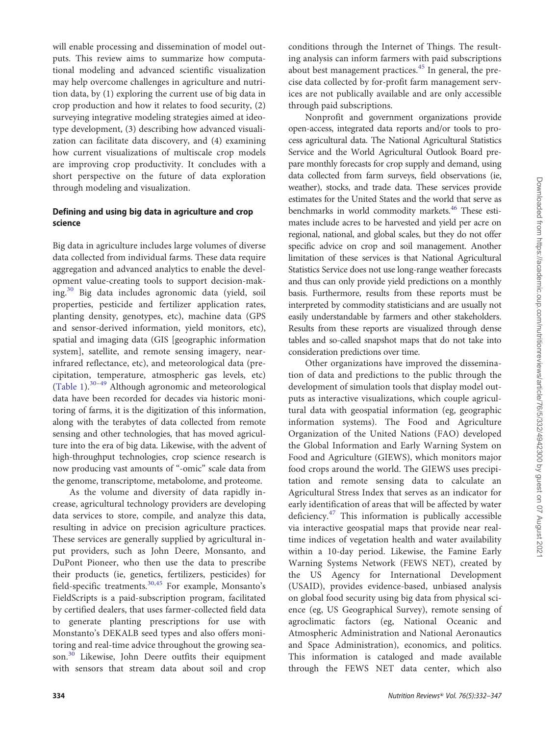will enable processing and dissemination of model outputs. This review aims to summarize how computational modeling and advanced scientific visualization may help overcome challenges in agriculture and nutrition data, by (1) exploring the current use of big data in crop production and how it relates to food security, (2) surveying integrative modeling strategies aimed at ideotype development, (3) describing how advanced visualization can facilitate data discovery, and (4) examining how current visualizations of multiscale crop models are improving crop productivity. It concludes with a short perspective on the future of data exploration through modeling and visualization.

## Defining and using big data in agriculture and crop science

Big data in agriculture includes large volumes of diverse data collected from individual farms. These data require aggregation and advanced analytics to enable the development value-creating tools to support decision-making.<sup>30</sup> Big data includes agronomic data (yield, soil properties, pesticide and fertilizer application rates, planting density, genotypes, etc), machine data (GPS and sensor-derived information, yield monitors, etc), spatial and imaging data (GIS [geographic information system], satellite, and remote sensing imagery, nearinfrared reflectance, etc), and meteorological data (precipitation, temperature, atmospheric gas levels, etc) (Table 1). $30-49$  Although agronomic and meteorological data have been recorded for decades via historic monitoring of farms, it is the digitization of this information, along with the terabytes of data collected from remote sensing and other technologies, that has moved agriculture into the era of big data. Likewise, with the advent of high-throughput technologies, crop science research is now producing vast amounts of "-omic" scale data from the genome, transcriptome, metabolome, and proteome.

As the volume and diversity of data rapidly increase, agricultural technology providers are developing data services to store, compile, and analyze this data, resulting in advice on precision agriculture practices. These services are generally supplied by agricultural input providers, such as John Deere, Monsanto, and DuPont Pioneer, who then use the data to prescribe their products (ie, genetics, fertilizers, pesticides) for field-specific treatments.<sup>30,45</sup> For example, Monsanto's FieldScripts is a paid-subscription program, facilitated by certified dealers, that uses farmer-collected field data to generate planting prescriptions for use with Monstanto's DEKALB seed types and also offers monitoring and real-time advice throughout the growing season.<sup>30</sup> Likewise, John Deere outfits their equipment with sensors that stream data about soil and crop conditions through the Internet of Things. The resulting analysis can inform farmers with paid subscriptions about best management practices.<sup>45</sup> In general, the precise data collected by for-profit farm management services are not publically available and are only accessible through paid subscriptions.

Nonprofit and government organizations provide open-access, integrated data reports and/or tools to process agricultural data. The National Agricultural Statistics Service and the World Agricultural Outlook Board prepare monthly forecasts for crop supply and demand, using data collected from farm surveys, field observations (ie, weather), stocks, and trade data. These services provide estimates for the United States and the world that serve as benchmarks in world commodity markets.<sup>46</sup> These estimates include acres to be harvested and yield per acre on regional, national, and global scales, but they do not offer specific advice on crop and soil management. Another limitation of these services is that National Agricultural Statistics Service does not use long-range weather forecasts and thus can only provide yield predictions on a monthly basis. Furthermore, results from these reports must be interpreted by commodity statisticians and are usually not easily understandable by farmers and other stakeholders. Results from these reports are visualized through dense tables and so-called snapshot maps that do not take into consideration predictions over time.

Other organizations have improved the dissemination of data and predictions to the public through the development of simulation tools that display model outputs as interactive visualizations, which couple agricultural data with geospatial information (eg, geographic information systems). The Food and Agriculture Organization of the United Nations (FAO) developed the Global Information and Early Warning System on Food and Agriculture (GIEWS), which monitors major food crops around the world. The GIEWS uses precipitation and remote sensing data to calculate an Agricultural Stress Index that serves as an indicator for early identification of areas that will be affected by water deficiency.<sup>47</sup> This information is publically accessible via interactive geospatial maps that provide near realtime indices of vegetation health and water availability within a 10-day period. Likewise, the Famine Early Warning Systems Network (FEWS NET), created by the US Agency for International Development (USAID), provides evidence-based, unbiased analysis on global food security using big data from physical science (eg, US Geographical Survey), remote sensing of agroclimatic factors (eg, National Oceanic and Atmospheric Administration and National Aeronautics and Space Administration), economics, and politics. This information is cataloged and made available through the FEWS NET data center, which also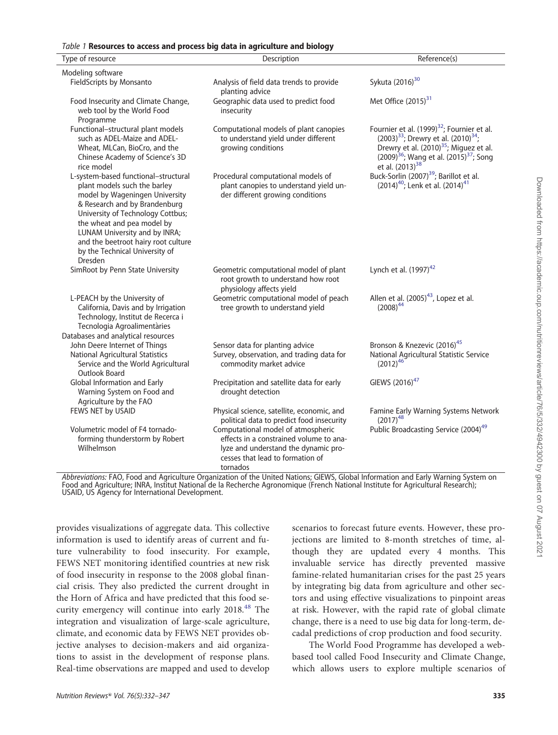#### *Table 1* Resources to access and process big data in agriculture and biology

| Type of resource                                                                                                                                                                                                                                                                                                                | Description                                                                                                                                                           | Reference(s)                                                                                                                                                                                                                              |
|---------------------------------------------------------------------------------------------------------------------------------------------------------------------------------------------------------------------------------------------------------------------------------------------------------------------------------|-----------------------------------------------------------------------------------------------------------------------------------------------------------------------|-------------------------------------------------------------------------------------------------------------------------------------------------------------------------------------------------------------------------------------------|
| Modeling software                                                                                                                                                                                                                                                                                                               |                                                                                                                                                                       |                                                                                                                                                                                                                                           |
| FieldScripts by Monsanto                                                                                                                                                                                                                                                                                                        | Analysis of field data trends to provide<br>planting advice                                                                                                           | Sykuta (2016) <sup>30</sup>                                                                                                                                                                                                               |
| Food Insecurity and Climate Change,<br>web tool by the World Food<br>Programme                                                                                                                                                                                                                                                  | Geographic data used to predict food<br>insecurity                                                                                                                    | Met Office $(2015)^{31}$                                                                                                                                                                                                                  |
| Functional-structural plant models<br>such as ADEL-Maize and ADEL-<br>Wheat, MLCan, BioCro, and the<br>Chinese Academy of Science's 3D<br>rice model                                                                                                                                                                            | Computational models of plant canopies<br>to understand yield under different<br>growing conditions                                                                   | Fournier et al. $(1999)^{32}$ ; Fournier et al.<br>$(2003)^{33}$ ; Drewry et al. $(2010)^{34}$ ;<br>Drewry et al. (2010) <sup>35</sup> ; Miguez et al.<br>$(2009)^{36}$ ; Wang et al. $(2015)^{37}$ ; Song<br>et al. (2013) <sup>38</sup> |
| L-system-based functional-structural<br>plant models such the barley<br>model by Wageningen University<br>& Research and by Brandenburg<br>University of Technology Cottbus;<br>the wheat and pea model by<br>LUNAM University and by INRA;<br>and the beetroot hairy root culture<br>by the Technical University of<br>Dresden | Procedural computational models of<br>plant canopies to understand yield un-<br>der different growing conditions                                                      | Buck-Sorlin (2007) <sup>39</sup> ; Barillot et al.<br>(2014) <sup>40</sup> ; Lenk et al. (2014) <sup>41</sup>                                                                                                                             |
| SimRoot by Penn State University                                                                                                                                                                                                                                                                                                | Geometric computational model of plant<br>root growth to understand how root<br>physiology affects yield                                                              | Lynch et al. (1997) <sup>42</sup>                                                                                                                                                                                                         |
| L-PEACH by the University of<br>California, Davis and by Irrigation<br>Technology, Institut de Recerca i<br>Tecnologia Agroalimentàries<br>Databases and analytical resources                                                                                                                                                   | Geometric computational model of peach<br>tree growth to understand yield                                                                                             | Allen et al. (2005) <sup>43</sup> , Lopez et al.<br>$(2008)^{44}$                                                                                                                                                                         |
| John Deere Internet of Things                                                                                                                                                                                                                                                                                                   | Sensor data for planting advice                                                                                                                                       | Bronson & Knezevic (2016) <sup>45</sup>                                                                                                                                                                                                   |
| National Agricultural Statistics<br>Service and the World Agricultural<br><b>Outlook Board</b>                                                                                                                                                                                                                                  | Survey, observation, and trading data for<br>commodity market advice                                                                                                  | National Agricultural Statistic Service<br>$(2012)^{46}$                                                                                                                                                                                  |
| Global Information and Early<br>Warning System on Food and<br>Agriculture by the FAO                                                                                                                                                                                                                                            | Precipitation and satellite data for early<br>drought detection                                                                                                       | GIEWS (2016) <sup>47</sup>                                                                                                                                                                                                                |
| FEWS NET by USAID                                                                                                                                                                                                                                                                                                               | Physical science, satellite, economic, and<br>political data to predict food insecurity                                                                               | Famine Early Warning Systems Network<br>$(2017)^{48}$                                                                                                                                                                                     |
| Volumetric model of F4 tornado-<br>forming thunderstorm by Robert<br>Wilhelmson                                                                                                                                                                                                                                                 | Computational model of atmospheric<br>effects in a constrained volume to ana-<br>lyze and understand the dynamic pro-<br>cesses that lead to formation of<br>tornados | Public Broadcasting Service (2004) <sup>49</sup>                                                                                                                                                                                          |

*Abbreviations:* FAO, Food and Agriculture Organization of the United Nations; GIEWS, Global Information and Early Warning System on Food and Agriculture; INRA, Institut National de la Recherche Agronomique (French National Institute for Agricultural Research); USAID, US Agency for International Development.

provides visualizations of aggregate data. This collective information is used to identify areas of current and future vulnerability to food insecurity. For example, FEWS NET monitoring identified countries at new risk of food insecurity in response to the 2008 global financial crisis. They also predicted the current drought in the Horn of Africa and have predicted that this food security emergency will continue into early 2018.<sup>48</sup> The integration and visualization of large-scale agriculture, climate, and economic data by FEWS NET provides objective analyses to decision-makers and aid organizations to assist in the development of response plans. Real-time observations are mapped and used to develop

scenarios to forecast future events. However, these projections are limited to 8-month stretches of time, although they are updated every 4 months. This invaluable service has directly prevented massive famine-related humanitarian crises for the past 25 years by integrating big data from agriculture and other sectors and using effective visualizations to pinpoint areas at risk. However, with the rapid rate of global climate change, there is a need to use big data for long-term, decadal predictions of crop production and food security.

The World Food Programme has developed a webbased tool called Food Insecurity and Climate Change, which allows users to explore multiple scenarios of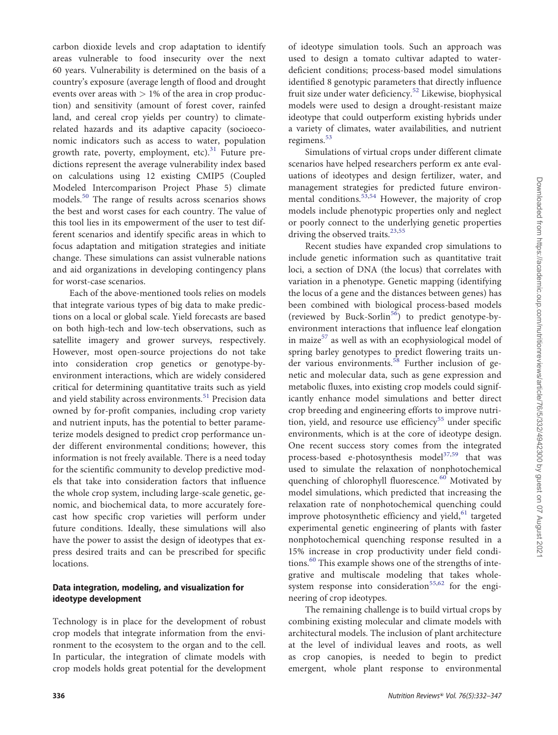carbon dioxide levels and crop adaptation to identify areas vulnerable to food insecurity over the next 60 years. Vulnerability is determined on the basis of a country's exposure (average length of flood and drought events over areas with  $> 1\%$  of the area in crop production) and sensitivity (amount of forest cover, rainfed land, and cereal crop yields per country) to climaterelated hazards and its adaptive capacity (socioeconomic indicators such as access to water, population growth rate, poverty, employment, etc). $31$  Future predictions represent the average vulnerability index based on calculations using 12 existing CMIP5 (Coupled Modeled Intercomparison Project Phase 5) climate models.<sup>50</sup> The range of results across scenarios shows the best and worst cases for each country. The value of this tool lies in its empowerment of the user to test different scenarios and identify specific areas in which to focus adaptation and mitigation strategies and initiate change. These simulations can assist vulnerable nations and aid organizations in developing contingency plans for worst-case scenarios.

Each of the above-mentioned tools relies on models that integrate various types of big data to make predictions on a local or global scale. Yield forecasts are based on both high-tech and low-tech observations, such as satellite imagery and grower surveys, respectively. However, most open-source projections do not take into consideration crop genetics or genotype-byenvironment interactions, which are widely considered critical for determining quantitative traits such as yield and yield stability across environments.<sup>51</sup> Precision data owned by for-profit companies, including crop variety and nutrient inputs, has the potential to better parameterize models designed to predict crop performance under different environmental conditions; however, this information is not freely available. There is a need today for the scientific community to develop predictive models that take into consideration factors that influence the whole crop system, including large-scale genetic, genomic, and biochemical data, to more accurately forecast how specific crop varieties will perform under future conditions. Ideally, these simulations will also have the power to assist the design of ideotypes that express desired traits and can be prescribed for specific locations.

## Data integration, modeling, and visualization for ideotype development

Technology is in place for the development of robust crop models that integrate information from the environment to the ecosystem to the organ and to the cell. In particular, the integration of climate models with crop models holds great potential for the development of ideotype simulation tools. Such an approach was used to design a tomato cultivar adapted to waterdeficient conditions; process-based model simulations identified 8 genotypic parameters that directly influence fruit size under water deficiency.<sup>52</sup> Likewise, biophysical models were used to design a drought-resistant maize ideotype that could outperform existing hybrids under a variety of climates, water availabilities, and nutrient regimens.<sup>53</sup>

Simulations of virtual crops under different climate scenarios have helped researchers perform ex ante evaluations of ideotypes and design fertilizer, water, and management strategies for predicted future environmental conditions.<sup>53,54</sup> However, the majority of crop models include phenotypic properties only and neglect or poorly connect to the underlying genetic properties driving the observed traits.<sup>23,55</sup>

Recent studies have expanded crop simulations to include genetic information such as quantitative trait loci, a section of DNA (the locus) that correlates with variation in a phenotype. Genetic mapping (identifying the locus of a gene and the distances between genes) has been combined with biological process-based models (reviewed by Buck-Sorlin<sup>56</sup>) to predict genotype-byenvironment interactions that influence leaf elongation in maize $57$  as well as with an ecophysiological model of spring barley genotypes to predict flowering traits under various environments.<sup>58</sup> Further inclusion of genetic and molecular data, such as gene expression and metabolic fluxes, into existing crop models could significantly enhance model simulations and better direct crop breeding and engineering efforts to improve nutrition, yield, and resource use efficiency<sup>55</sup> under specific environments, which is at the core of ideotype design. One recent success story comes from the integrated process-based e-photosynthesis model<sup>37,59</sup> that was used to simulate the relaxation of nonphotochemical quenching of chlorophyll fluorescence.<sup>60</sup> Motivated by model simulations, which predicted that increasing the relaxation rate of nonphotochemical quenching could improve photosynthetic efficiency and yield, $61$  targeted experimental genetic engineering of plants with faster nonphotochemical quenching response resulted in a 15% increase in crop productivity under field conditions.<sup>60</sup> This example shows one of the strengths of integrative and multiscale modeling that takes wholesystem response into consideration<sup>55,62</sup> for the engineering of crop ideotypes.

The remaining challenge is to build virtual crops by combining existing molecular and climate models with architectural models. The inclusion of plant architecture at the level of individual leaves and roots, as well as crop canopies, is needed to begin to predict emergent, whole plant response to environmental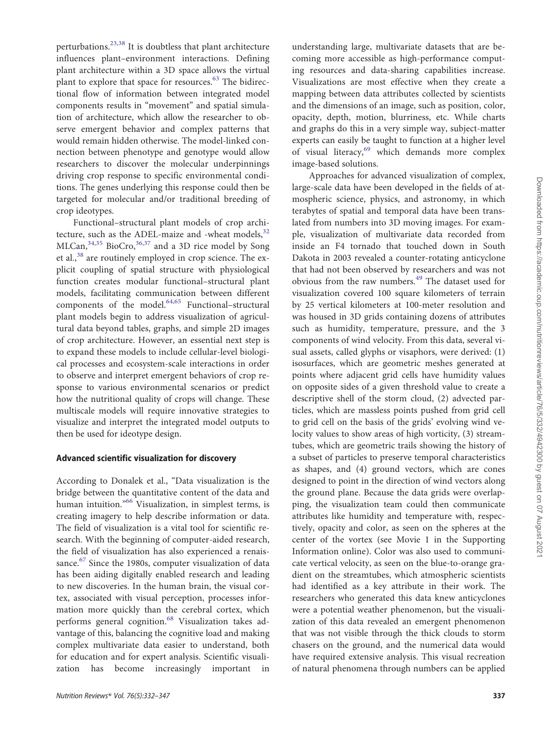perturbations.23,38 It is doubtless that plant architecture influences plant–environment interactions. Defining plant architecture within a 3D space allows the virtual plant to explore that space for resources.<sup>63</sup> The bidirectional flow of information between integrated model components results in "movement" and spatial simulation of architecture, which allow the researcher to observe emergent behavior and complex patterns that would remain hidden otherwise. The model-linked connection between phenotype and genotype would allow researchers to discover the molecular underpinnings driving crop response to specific environmental conditions. The genes underlying this response could then be targeted for molecular and/or traditional breeding of crop ideotypes.

Functional–structural plant models of crop architecture, such as the ADEL-maize and -wheat models, $32$ MLCan,<sup>34,35</sup> BioCro,<sup>36,37</sup> and a 3D rice model by Song et al.,<sup>38</sup> are routinely employed in crop science. The explicit coupling of spatial structure with physiological function creates modular functional–structural plant models, facilitating communication between different components of the model.<sup>64,65</sup> Functional–structural plant models begin to address visualization of agricultural data beyond tables, graphs, and simple 2D images of crop architecture. However, an essential next step is to expand these models to include cellular-level biological processes and ecosystem-scale interactions in order to observe and interpret emergent behaviors of crop response to various environmental scenarios or predict how the nutritional quality of crops will change. These multiscale models will require innovative strategies to visualize and interpret the integrated model outputs to then be used for ideotype design.

#### Advanced scientific visualization for discovery

According to Donalek et al., "Data visualization is the bridge between the quantitative content of the data and human intuition."<sup>66</sup> Visualization, in simplest terms, is creating imagery to help describe information or data. The field of visualization is a vital tool for scientific research. With the beginning of computer-aided research, the field of visualization has also experienced a renaissance.<sup>67</sup> Since the 1980s, computer visualization of data has been aiding digitally enabled research and leading to new discoveries. In the human brain, the visual cortex, associated with visual perception, processes information more quickly than the cerebral cortex, which performs general cognition.<sup>68</sup> Visualization takes advantage of this, balancing the cognitive load and making complex multivariate data easier to understand, both for education and for expert analysis. Scientific visualization has become increasingly important in

understanding large, multivariate datasets that are becoming more accessible as high-performance computing resources and data-sharing capabilities increase. Visualizations are most effective when they create a mapping between data attributes collected by scientists and the dimensions of an image, such as position, color, opacity, depth, motion, blurriness, etc. While charts and graphs do this in a very simple way, subject-matter experts can easily be taught to function at a higher level of visual literacy,<sup>69</sup> which demands more complex image-based solutions.

Approaches for advanced visualization of complex, large-scale data have been developed in the fields of atmospheric science, physics, and astronomy, in which terabytes of spatial and temporal data have been translated from numbers into 3D moving images. For example, visualization of multivariate data recorded from inside an F4 tornado that touched down in South Dakota in 2003 revealed a counter-rotating anticyclone that had not been observed by researchers and was not obvious from the raw numbers.<sup>49</sup> The dataset used for visualization covered 100 square kilometers of terrain by 25 vertical kilometers at 100-meter resolution and was housed in 3D grids containing dozens of attributes such as humidity, temperature, pressure, and the 3 components of wind velocity. From this data, several visual assets, called glyphs or visaphors, were derived: (1) isosurfaces, which are geometric meshes generated at points where adjacent grid cells have humidity values on opposite sides of a given threshold value to create a descriptive shell of the storm cloud, (2) advected particles, which are massless points pushed from grid cell to grid cell on the basis of the grids' evolving wind velocity values to show areas of high vorticity, (3) streamtubes, which are geometric trails showing the history of a subset of particles to preserve temporal characteristics as shapes, and (4) ground vectors, which are cones designed to point in the direction of wind vectors along the ground plane. Because the data grids were overlapping, the visualization team could then communicate attributes like humidity and temperature with, respectively, opacity and color, as seen on the spheres at the center of the vortex (see Movie 1 in the Supporting Information online). Color was also used to communicate vertical velocity, as seen on the blue-to-orange gradient on the streamtubes, which atmospheric scientists had identified as a key attribute in their work. The researchers who generated this data knew anticyclones were a potential weather phenomenon, but the visualization of this data revealed an emergent phenomenon that was not visible through the thick clouds to storm chasers on the ground, and the numerical data would have required extensive analysis. This visual recreation of natural phenomena through numbers can be applied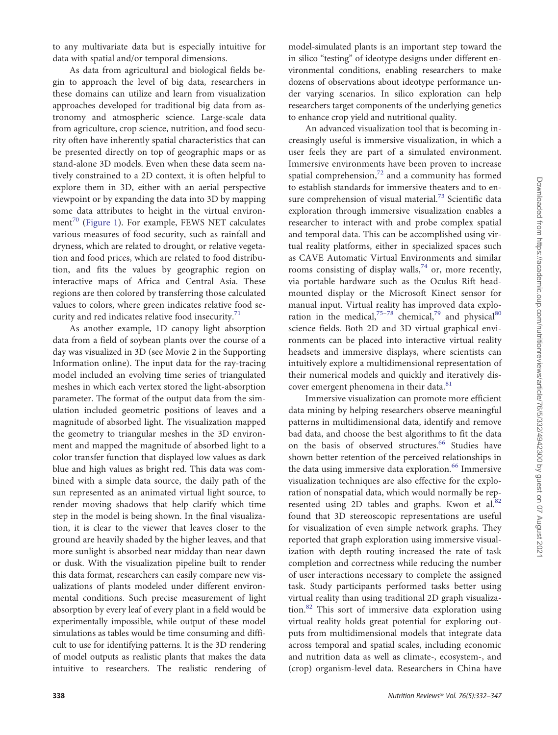to any multivariate data but is especially intuitive for data with spatial and/or temporal dimensions.

As data from agricultural and biological fields begin to approach the level of big data, researchers in these domains can utilize and learn from visualization approaches developed for traditional big data from astronomy and atmospheric science. Large-scale data from agriculture, crop science, nutrition, and food security often have inherently spatial characteristics that can be presented directly on top of geographic maps or as stand-alone 3D models. Even when these data seem natively constrained to a 2D context, it is often helpful to explore them in 3D, either with an aerial perspective viewpoint or by expanding the data into 3D by mapping some data attributes to height in the virtual environ $ment^{70}$  (Figure 1). For example, FEWS NET calculates various measures of food security, such as rainfall and dryness, which are related to drought, or relative vegetation and food prices, which are related to food distribution, and fits the values by geographic region on interactive maps of Africa and Central Asia. These regions are then colored by transferring those calculated values to colors, where green indicates relative food security and red indicates relative food insecurity. $71$ 

As another example, 1D canopy light absorption data from a field of soybean plants over the course of a day was visualized in 3D (see Movie 2 in the Supporting Information online). The input data for the ray-tracing model included an evolving time series of triangulated meshes in which each vertex stored the light-absorption parameter. The format of the output data from the simulation included geometric positions of leaves and a magnitude of absorbed light. The visualization mapped the geometry to triangular meshes in the 3D environment and mapped the magnitude of absorbed light to a color transfer function that displayed low values as dark blue and high values as bright red. This data was combined with a simple data source, the daily path of the sun represented as an animated virtual light source, to render moving shadows that help clarify which time step in the model is being shown. In the final visualization, it is clear to the viewer that leaves closer to the ground are heavily shaded by the higher leaves, and that more sunlight is absorbed near midday than near dawn or dusk. With the visualization pipeline built to render this data format, researchers can easily compare new visualizations of plants modeled under different environmental conditions. Such precise measurement of light absorption by every leaf of every plant in a field would be experimentally impossible, while output of these model simulations as tables would be time consuming and difficult to use for identifying patterns. It is the 3D rendering of model outputs as realistic plants that makes the data intuitive to researchers. The realistic rendering of model-simulated plants is an important step toward the in silico "testing" of ideotype designs under different environmental conditions, enabling researchers to make dozens of observations about ideotype performance under varying scenarios. In silico exploration can help researchers target components of the underlying genetics to enhance crop yield and nutritional quality.

An advanced visualization tool that is becoming increasingly useful is immersive visualization, in which a user feels they are part of a simulated environment. Immersive environments have been proven to increase spatial comprehension, $72$  and a community has formed to establish standards for immersive theaters and to ensure comprehension of visual material.<sup>73</sup> Scientific data exploration through immersive visualization enables a researcher to interact with and probe complex spatial and temporal data. This can be accomplished using virtual reality platforms, either in specialized spaces such as CAVE Automatic Virtual Environments and similar rooms consisting of display walls,<sup>74</sup> or, more recently, via portable hardware such as the Oculus Rift headmounted display or the Microsoft Kinect sensor for manual input. Virtual reality has improved data exploration in the medical,<sup>75-78</sup> chemical,<sup>79</sup> and physical<sup>80</sup> science fields. Both 2D and 3D virtual graphical environments can be placed into interactive virtual reality headsets and immersive displays, where scientists can intuitively explore a multidimensional representation of their numerical models and quickly and iteratively discover emergent phenomena in their data.<sup>81</sup>

Immersive visualization can promote more efficient data mining by helping researchers observe meaningful patterns in multidimensional data, identify and remove bad data, and choose the best algorithms to fit the data on the basis of observed structures.<sup>66</sup> Studies have shown better retention of the perceived relationships in the data using immersive data exploration.<sup>66</sup> Immersive visualization techniques are also effective for the exploration of nonspatial data, which would normally be represented using 2D tables and graphs. Kwon et al.<sup>82</sup> found that 3D stereoscopic representations are useful for visualization of even simple network graphs. They reported that graph exploration using immersive visualization with depth routing increased the rate of task completion and correctness while reducing the number of user interactions necessary to complete the assigned task. Study participants performed tasks better using virtual reality than using traditional 2D graph visualization. $82$  This sort of immersive data exploration using virtual reality holds great potential for exploring outputs from multidimensional models that integrate data across temporal and spatial scales, including economic and nutrition data as well as climate-, ecosystem-, and (crop) organism-level data. Researchers in China have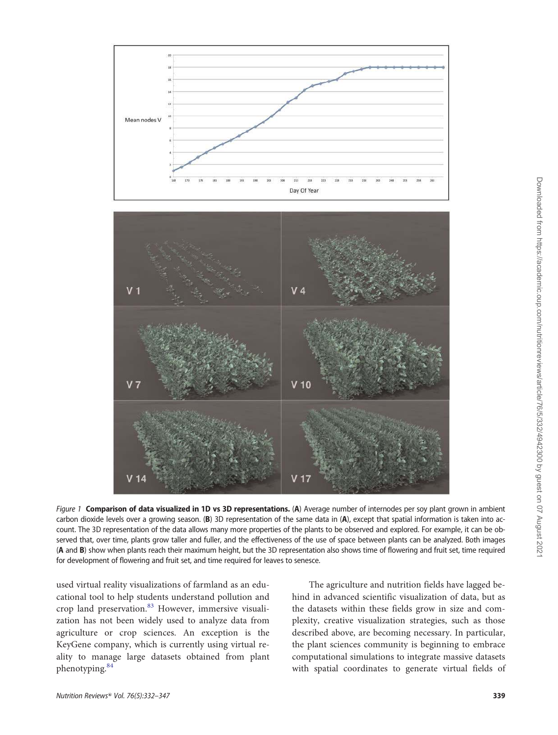



Downloaded from https://academic.oup.com/nutritionreviews/article/76/5/332/4942300 by guest on 07 August 2021 Downloaded from https://academic.oup.com/nutritionreviews/article/76/5/332/4942300 by guest on 07 August 2021

*Figure 1* Comparison of data visualized in 1D vs 3D representations. (A) Average number of internodes per soy plant grown in ambient carbon dioxide levels over a growing season. (B) 3D representation of the same data in  $(A)$ , except that spatial information is taken into account. The 3D representation of the data allows many more properties of the plants to be observed and explored. For example, it can be observed that, over time, plants grow taller and fuller, and the effectiveness of the use of space between plants can be analyzed. Both images (A and B) show when plants reach their maximum height, but the 3D representation also shows time of flowering and fruit set, time required for development of flowering and fruit set, and time required for leaves to senesce.

used virtual reality visualizations of farmland as an educational tool to help students understand pollution and crop land preservation.<sup>83</sup> However, immersive visualization has not been widely used to analyze data from agriculture or crop sciences. An exception is the KeyGene company, which is currently using virtual reality to manage large datasets obtained from plant phenotyping.<sup>84</sup>

The agriculture and nutrition fields have lagged behind in advanced scientific visualization of data, but as the datasets within these fields grow in size and complexity, creative visualization strategies, such as those described above, are becoming necessary. In particular, the plant sciences community is beginning to embrace computational simulations to integrate massive datasets with spatial coordinates to generate virtual fields of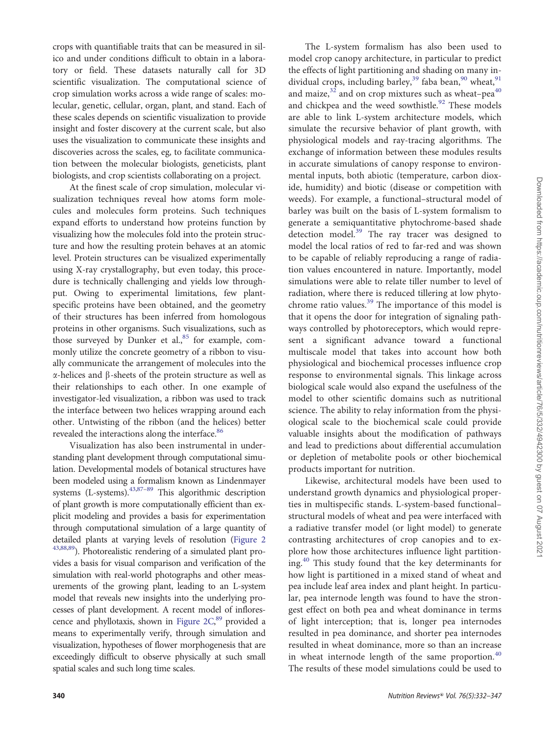crops with quantifiable traits that can be measured in silico and under conditions difficult to obtain in a laboratory or field. These datasets naturally call for 3D scientific visualization. The computational science of crop simulation works across a wide range of scales: molecular, genetic, cellular, organ, plant, and stand. Each of these scales depends on scientific visualization to provide insight and foster discovery at the current scale, but also uses the visualization to communicate these insights and discoveries across the scales, eg, to facilitate communication between the molecular biologists, geneticists, plant biologists, and crop scientists collaborating on a project.

At the finest scale of crop simulation, molecular visualization techniques reveal how atoms form molecules and molecules form proteins. Such techniques expand efforts to understand how proteins function by visualizing how the molecules fold into the protein structure and how the resulting protein behaves at an atomic level. Protein structures can be visualized experimentally using X-ray crystallography, but even today, this procedure is technically challenging and yields low throughput. Owing to experimental limitations, few plantspecific proteins have been obtained, and the geometry of their structures has been inferred from homologous proteins in other organisms. Such visualizations, such as those surveyed by Dunker et al., $85$  for example, commonly utilize the concrete geometry of a ribbon to visually communicate the arrangement of molecules into the  $\alpha$ -helices and  $\beta$ -sheets of the protein structure as well as their relationships to each other. In one example of investigator-led visualization, a ribbon was used to track the interface between two helices wrapping around each other. Untwisting of the ribbon (and the helices) better revealed the interactions along the interface.<sup>86</sup>

Visualization has also been instrumental in understanding plant development through computational simulation. Developmental models of botanical structures have been modeled using a formalism known as Lindenmayer systems (L-systems).<sup>43,87-89</sup> This algorithmic description of plant growth is more computationally efficient than explicit modeling and provides a basis for experimentation through computational simulation of a large quantity of detailed plants at varying levels of resolution (Figure 2 43,88,89). Photorealistic rendering of a simulated plant provides a basis for visual comparison and verification of the simulation with real-world photographs and other measurements of the growing plant, leading to an L-system model that reveals new insights into the underlying processes of plant development. A recent model of inflorescence and phyllotaxis, shown in Figure 2C,<sup>89</sup> provided a means to experimentally verify, through simulation and visualization, hypotheses of flower morphogenesis that are exceedingly difficult to observe physically at such small spatial scales and such long time scales.

The L-system formalism has also been used to model crop canopy architecture, in particular to predict the effects of light partitioning and shading on many individual crops, including barley,<sup>39</sup> faba bean,<sup>90</sup> wheat,<sup>91</sup> and maize, $3^2$  and on crop mixtures such as wheat-pea<sup>40</sup> and chickpea and the weed sowthistle.<sup>92</sup> These models are able to link L-system architecture models, which simulate the recursive behavior of plant growth, with physiological models and ray-tracing algorithms. The exchange of information between these modules results in accurate simulations of canopy response to environmental inputs, both abiotic (temperature, carbon dioxide, humidity) and biotic (disease or competition with weeds). For example, a functional–structural model of barley was built on the basis of L-system formalism to generate a semiquantitative phytochrome-based shade detection model.<sup>39</sup> The ray tracer was designed to model the local ratios of red to far-red and was shown to be capable of reliably reproducing a range of radiation values encountered in nature. Importantly, model simulations were able to relate tiller number to level of radiation, where there is reduced tillering at low phytochrome ratio values.<sup>39</sup> The importance of this model is that it opens the door for integration of signaling pathways controlled by photoreceptors, which would represent a significant advance toward a functional multiscale model that takes into account how both physiological and biochemical processes influence crop response to environmental signals. This linkage across biological scale would also expand the usefulness of the model to other scientific domains such as nutritional science. The ability to relay information from the physiological scale to the biochemical scale could provide valuable insights about the modification of pathways and lead to predictions about differential accumulation or depletion of metabolite pools or other biochemical products important for nutrition.

Likewise, architectural models have been used to understand growth dynamics and physiological properties in multispecific stands. L-system-based functional– structural models of wheat and pea were interfaced with a radiative transfer model (or light model) to generate contrasting architectures of crop canopies and to explore how those architectures influence light partitioning.<sup>40</sup> This study found that the key determinants for how light is partitioned in a mixed stand of wheat and pea include leaf area index and plant height. In particular, pea internode length was found to have the strongest effect on both pea and wheat dominance in terms of light interception; that is, longer pea internodes resulted in pea dominance, and shorter pea internodes resulted in wheat dominance, more so than an increase in wheat internode length of the same proportion. $40$ The results of these model simulations could be used to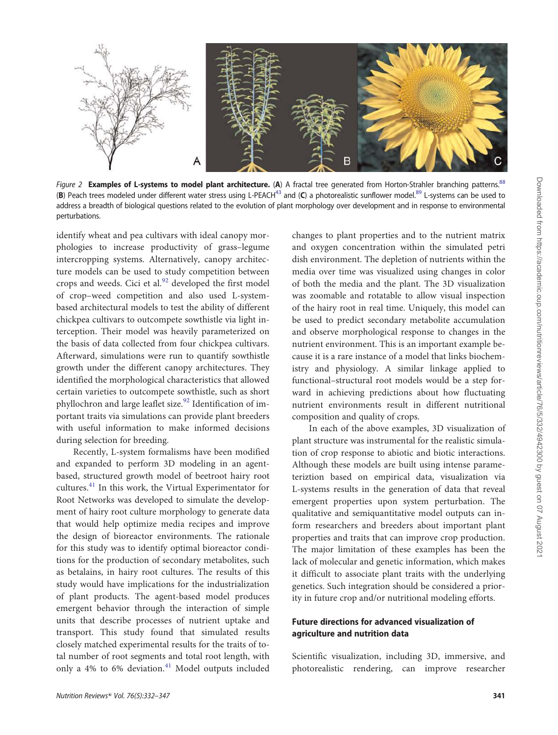

Figure 2 Examples of L-systems to model plant architecture. (A) A fractal tree generated from Horton-Strahler branching patterns.<sup>88</sup> (B) Peach trees modeled under different water stress using L-PEACH<sup>43</sup> and (C) a photorealistic sunflower model.<sup>89</sup> L-systems can be used to address a breadth of biological questions related to the evolution of plant morphology over development and in response to environmental perturbations.

identify wheat and pea cultivars with ideal canopy morphologies to increase productivity of grass–legume intercropping systems. Alternatively, canopy architecture models can be used to study competition between crops and weeds. Cici et al.<sup>92</sup> developed the first model of crop–weed competition and also used L-systembased architectural models to test the ability of different chickpea cultivars to outcompete sowthistle via light interception. Their model was heavily parameterized on the basis of data collected from four chickpea cultivars. Afterward, simulations were run to quantify sowthistle growth under the different canopy architectures. They identified the morphological characteristics that allowed certain varieties to outcompete sowthistle, such as short phyllochron and large leaflet size.<sup>92</sup> Identification of important traits via simulations can provide plant breeders with useful information to make informed decisions during selection for breeding.

Recently, L-system formalisms have been modified and expanded to perform 3D modeling in an agentbased, structured growth model of beetroot hairy root cultures.<sup>41</sup> In this work, the Virtual Experimentator for Root Networks was developed to simulate the development of hairy root culture morphology to generate data that would help optimize media recipes and improve the design of bioreactor environments. The rationale for this study was to identify optimal bioreactor conditions for the production of secondary metabolites, such as betalains, in hairy root cultures. The results of this study would have implications for the industrialization of plant products. The agent-based model produces emergent behavior through the interaction of simple units that describe processes of nutrient uptake and transport. This study found that simulated results closely matched experimental results for the traits of total number of root segments and total root length, with only a 4% to 6% deviation.<sup>41</sup> Model outputs included

changes to plant properties and to the nutrient matrix and oxygen concentration within the simulated petri dish environment. The depletion of nutrients within the media over time was visualized using changes in color of both the media and the plant. The 3D visualization was zoomable and rotatable to allow visual inspection of the hairy root in real time. Uniquely, this model can be used to predict secondary metabolite accumulation and observe morphological response to changes in the nutrient environment. This is an important example because it is a rare instance of a model that links biochemistry and physiology. A similar linkage applied to functional–structural root models would be a step forward in achieving predictions about how fluctuating nutrient environments result in different nutritional composition and quality of crops.

In each of the above examples, 3D visualization of plant structure was instrumental for the realistic simulation of crop response to abiotic and biotic interactions. Although these models are built using intense parameteriztion based on empirical data, visualization via L-systems results in the generation of data that reveal emergent properties upon system perturbation. The qualitative and semiquantitative model outputs can inform researchers and breeders about important plant properties and traits that can improve crop production. The major limitation of these examples has been the lack of molecular and genetic information, which makes it difficult to associate plant traits with the underlying genetics. Such integration should be considered a priority in future crop and/or nutritional modeling efforts.

## Future directions for advanced visualization of agriculture and nutrition data

Scientific visualization, including 3D, immersive, and photorealistic rendering, can improve researcher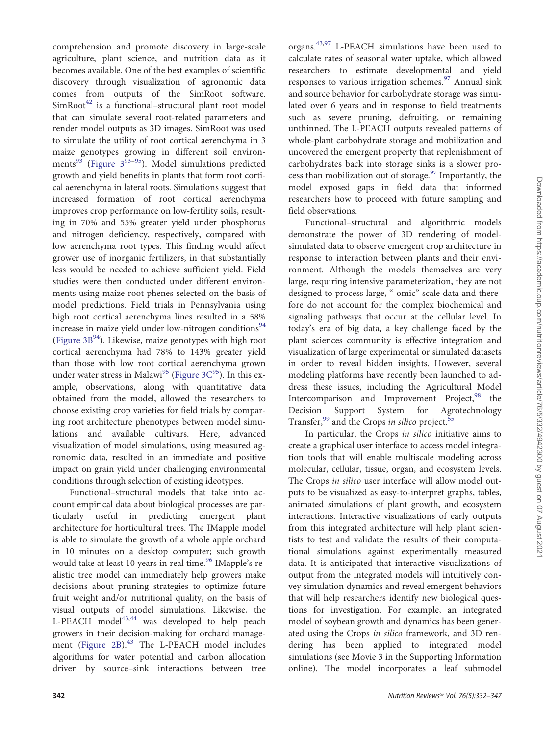comprehension and promote discovery in large-scale agriculture, plant science, and nutrition data as it becomes available. One of the best examples of scientific discovery through visualization of agronomic data comes from outputs of the SimRoot software.  $SimRoot^{42}$  is a functional-structural plant root model that can simulate several root-related parameters and render model outputs as 3D images. SimRoot was used to simulate the utility of root cortical aerenchyma in 3 maize genotypes growing in different soil environments<sup>93</sup> (Figure 3<sup>93-95</sup>). Model simulations predicted growth and yield benefits in plants that form root cortical aerenchyma in lateral roots. Simulations suggest that increased formation of root cortical aerenchyma improves crop performance on low-fertility soils, resulting in 70% and 55% greater yield under phosphorus and nitrogen deficiency, respectively, compared with low aerenchyma root types. This finding would affect grower use of inorganic fertilizers, in that substantially less would be needed to achieve sufficient yield. Field studies were then conducted under different environments using maize root phenes selected on the basis of model predictions. Field trials in Pennsylvania using high root cortical aerenchyma lines resulted in a 58% increase in maize yield under low-nitrogen conditions $94$ (Figure  $3B^{94}$ ). Likewise, maize genotypes with high root cortical aerenchyma had 78% to 143% greater yield than those with low root cortical aerenchyma grown under water stress in Malawi<sup>95</sup> (Figure 3C<sup>95</sup>). In this example, observations, along with quantitative data obtained from the model, allowed the researchers to choose existing crop varieties for field trials by comparing root architecture phenotypes between model simulations and available cultivars. Here, advanced visualization of model simulations, using measured agronomic data, resulted in an immediate and positive impact on grain yield under challenging environmental conditions through selection of existing ideotypes. Functional–structural models that take into ac-

count empirical data about biological processes are particularly useful in predicting emergent plant architecture for horticultural trees. The IMapple model is able to simulate the growth of a whole apple orchard in 10 minutes on a desktop computer; such growth would take at least 10 years in real time.<sup>96</sup> IMapple's realistic tree model can immediately help growers make decisions about pruning strategies to optimize future fruit weight and/or nutritional quality, on the basis of visual outputs of model simulations. Likewise, the L-PEACH model $4^{43,44}$  was developed to help peach growers in their decision-making for orchard management (Figure 2B).<sup>43</sup> The L-PEACH model includes algorithms for water potential and carbon allocation driven by source–sink interactions between tree

organs.<sup>43,97</sup> L-PEACH simulations have been used to calculate rates of seasonal water uptake, which allowed researchers to estimate developmental and yield responses to various irrigation schemes.<sup>97</sup> Annual sink and source behavior for carbohydrate storage was simulated over 6 years and in response to field treatments such as severe pruning, defruiting, or remaining unthinned. The L-PEACH outputs revealed patterns of whole-plant carbohydrate storage and mobilization and uncovered the emergent property that replenishment of carbohydrates back into storage sinks is a slower process than mobilization out of storage.<sup>97</sup> Importantly, the model exposed gaps in field data that informed researchers how to proceed with future sampling and field observations.

Functional–structural and algorithmic models demonstrate the power of 3D rendering of modelsimulated data to observe emergent crop architecture in response to interaction between plants and their environment. Although the models themselves are very large, requiring intensive parameterization, they are not designed to process large, "-omic" scale data and therefore do not account for the complex biochemical and signaling pathways that occur at the cellular level. In today's era of big data, a key challenge faced by the plant sciences community is effective integration and visualization of large experimental or simulated datasets in order to reveal hidden insights. However, several modeling platforms have recently been launched to address these issues, including the Agricultural Model Intercomparison and Improvement Project,  $98$  the Decision Support System for Agrotechnology Transfer,<sup>99</sup> and the Crops in silico project.<sup>55</sup>

In particular, the Crops in silico initiative aims to create a graphical user interface to access model integration tools that will enable multiscale modeling across molecular, cellular, tissue, organ, and ecosystem levels. The Crops in silico user interface will allow model outputs to be visualized as easy-to-interpret graphs, tables, animated simulations of plant growth, and ecosystem interactions. Interactive visualizations of early outputs from this integrated architecture will help plant scientists to test and validate the results of their computational simulations against experimentally measured data. It is anticipated that interactive visualizations of output from the integrated models will intuitively convey simulation dynamics and reveal emergent behaviors that will help researchers identify new biological questions for investigation. For example, an integrated model of soybean growth and dynamics has been generated using the Crops in silico framework, and 3D rendering has been applied to integrated model simulations (see Movie 3 in the Supporting Information online). The model incorporates a leaf submodel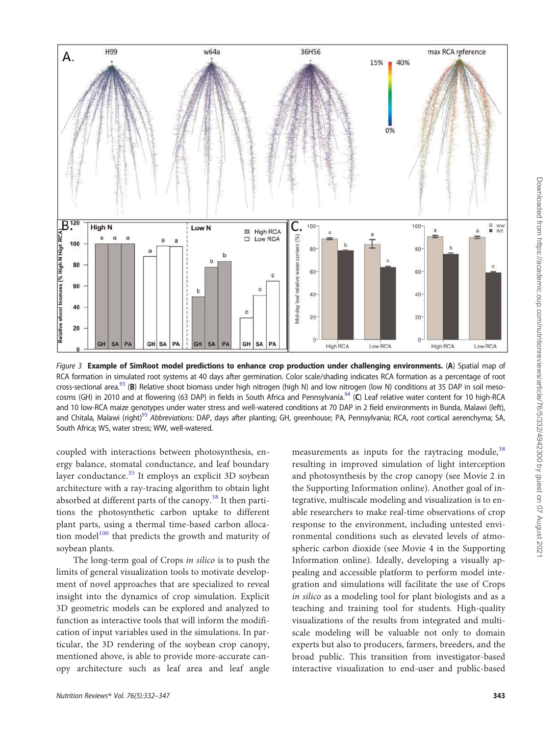

*Figure 3* Example of SimRoot model predictions to enhance crop production under challenging environments. (A) Spatial map of RCA formation in simulated root systems at 40 days after germination. Color scale/shading indicates RCA formation as a percentage of root cross-sectional area.<sup>93</sup> (B) Relative shoot biomass under high nitrogen (high N) and low nitrogen (low N) conditions at 35 DAP in soil mesocosms (GH) in 2010 and at flowering (63 DAP) in fields in South Africa and Pennsylvania.<sup>94</sup> (C) Leaf relative water content for 10 high-RCA and 10 low-RCA maize genotypes under water stress and well-watered conditions at 70 DAP in 2 field environments in Bunda, Malawi (left), and Chitala, Malawi (right)<sup>95</sup> Abbreviations: DAP, days after planting; GH, greenhouse; PA, Pennsylvania; RCA, root cortical aerenchyma; SA, South Africa; WS, water stress; WW, well-watered.

coupled with interactions between photosynthesis, energy balance, stomatal conductance, and leaf boundary layer conductance.<sup>35</sup> It employs an explicit 3D soybean architecture with a ray-tracing algorithm to obtain light absorbed at different parts of the canopy.<sup>38</sup> It then partitions the photosynthetic carbon uptake to different plant parts, using a thermal time-based carbon allocation model<sup>100</sup> that predicts the growth and maturity of soybean plants.

The long-term goal of Crops in silico is to push the limits of general visualization tools to motivate development of novel approaches that are specialized to reveal insight into the dynamics of crop simulation. Explicit 3D geometric models can be explored and analyzed to function as interactive tools that will inform the modification of input variables used in the simulations. In particular, the 3D rendering of the soybean crop canopy, mentioned above, is able to provide more-accurate canopy architecture such as leaf area and leaf angle

measurements as inputs for the raytracing module,<sup>38</sup> resulting in improved simulation of light interception and photosynthesis by the crop canopy (see Movie 2 in the Supporting Information online). Another goal of integrative, multiscale modeling and visualization is to enable researchers to make real-time observations of crop response to the environment, including untested environmental conditions such as elevated levels of atmospheric carbon dioxide (see Movie 4 in the Supporting Information online). Ideally, developing a visually appealing and accessible platform to perform model integration and simulations will facilitate the use of Crops in silico as a modeling tool for plant biologists and as a teaching and training tool for students. High-quality visualizations of the results from integrated and multiscale modeling will be valuable not only to domain experts but also to producers, farmers, breeders, and the broad public. This transition from investigator-based interactive visualization to end-user and public-based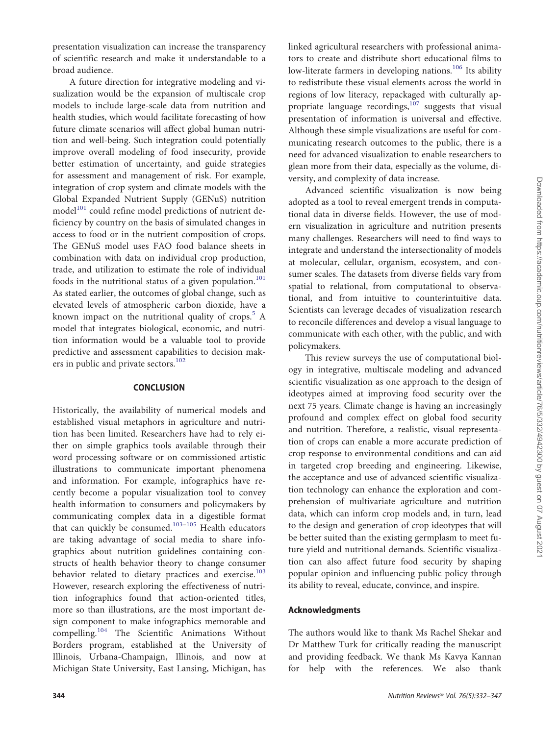presentation visualization can increase the transparency of scientific research and make it understandable to a broad audience.

A future direction for integrative modeling and visualization would be the expansion of multiscale crop models to include large-scale data from nutrition and health studies, which would facilitate forecasting of how future climate scenarios will affect global human nutrition and well-being. Such integration could potentially improve overall modeling of food insecurity, provide better estimation of uncertainty, and guide strategies for assessment and management of risk. For example, integration of crop system and climate models with the Global Expanded Nutrient Supply (GENuS) nutrition model<sup>101</sup> could refine model predictions of nutrient deficiency by country on the basis of simulated changes in access to food or in the nutrient composition of crops. The GENuS model uses FAO food balance sheets in combination with data on individual crop production, trade, and utilization to estimate the role of individual foods in the nutritional status of a given population.<sup>101</sup> As stated earlier, the outcomes of global change, such as elevated levels of atmospheric carbon dioxide, have a known impact on the nutritional quality of crops. $5$  A model that integrates biological, economic, and nutrition information would be a valuable tool to provide predictive and assessment capabilities to decision makers in public and private sectors.<sup>102</sup>

#### **CONCLUSION**

Historically, the availability of numerical models and established visual metaphors in agriculture and nutrition has been limited. Researchers have had to rely either on simple graphics tools available through their word processing software or on commissioned artistic illustrations to communicate important phenomena and information. For example, infographics have recently become a popular visualization tool to convey health information to consumers and policymakers by communicating complex data in a digestible format that can quickly be consumed.<sup>103–105</sup> Health educators are taking advantage of social media to share infographics about nutrition guidelines containing constructs of health behavior theory to change consumer behavior related to dietary practices and exercise.<sup>103</sup> However, research exploring the effectiveness of nutrition infographics found that action-oriented titles, more so than illustrations, are the most important design component to make infographics memorable and compelling.<sup>104</sup> The Scientific Animations Without Borders program, established at the University of Illinois, Urbana-Champaign, Illinois, and now at Michigan State University, East Lansing, Michigan, has

linked agricultural researchers with professional animators to create and distribute short educational films to low-literate farmers in developing nations.<sup>106</sup> Its ability to redistribute these visual elements across the world in regions of low literacy, repackaged with culturally appropriate language recordings,<sup>107</sup> suggests that visual presentation of information is universal and effective. Although these simple visualizations are useful for communicating research outcomes to the public, there is a need for advanced visualization to enable researchers to glean more from their data, especially as the volume, diversity, and complexity of data increase.

Advanced scientific visualization is now being adopted as a tool to reveal emergent trends in computational data in diverse fields. However, the use of modern visualization in agriculture and nutrition presents many challenges. Researchers will need to find ways to integrate and understand the intersectionality of models at molecular, cellular, organism, ecosystem, and consumer scales. The datasets from diverse fields vary from spatial to relational, from computational to observational, and from intuitive to counterintuitive data. Scientists can leverage decades of visualization research to reconcile differences and develop a visual language to communicate with each other, with the public, and with policymakers.

This review surveys the use of computational biology in integrative, multiscale modeling and advanced scientific visualization as one approach to the design of ideotypes aimed at improving food security over the next 75 years. Climate change is having an increasingly profound and complex effect on global food security and nutrition. Therefore, a realistic, visual representation of crops can enable a more accurate prediction of crop response to environmental conditions and can aid in targeted crop breeding and engineering. Likewise, the acceptance and use of advanced scientific visualization technology can enhance the exploration and comprehension of multivariate agriculture and nutrition data, which can inform crop models and, in turn, lead to the design and generation of crop ideotypes that will be better suited than the existing germplasm to meet future yield and nutritional demands. Scientific visualization can also affect future food security by shaping popular opinion and influencing public policy through its ability to reveal, educate, convince, and inspire.

## Acknowledgments

The authors would like to thank Ms Rachel Shekar and Dr Matthew Turk for critically reading the manuscript and providing feedback. We thank Ms Kavya Kannan for help with the references. We also thank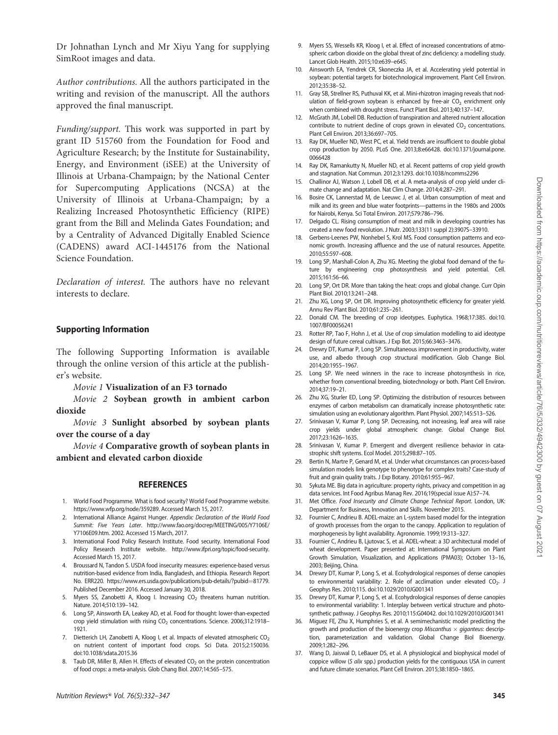Dr Johnathan Lynch and Mr Xiyu Yang for supplying SimRoot images and data.

Author contributions. All the authors participated in the writing and revision of the manuscript. All the authors approved the final manuscript.

Funding/support. This work was supported in part by grant ID 515760 from the Foundation for Food and Agriculture Research; by the Institute for Sustainability, Energy, and Environment (iSEE) at the University of Illinois at Urbana-Champaign; by the National Center for Supercomputing Applications (NCSA) at the University of Illinois at Urbana-Champaign; by a Realizing Increased Photosynthetic Efficiency (RIPE) grant from the Bill and Melinda Gates Foundation; and by a Centrality of Advanced Digitally Enabled Science (CADENS) award ACI-1445176 from the National Science Foundation.

Declaration of interest. The authors have no relevant interests to declare.

## Supporting Information

The following Supporting Information is available through the online version of this article at the publisher's website.

Movie 1 Visualization of an F3 tornado

Movie 2 Soybean growth in ambient carbon dioxide

Movie 3 Sunlight absorbed by soybean plants over the course of a day

Movie 4 Comparative growth of soybean plants in ambient and elevated carbon dioxide

#### REFERENCES

- 1. World Food Programme. What is food security? World Food Programme website. https://www.wfp.org/node/359289. Accessed March 15, 2017.
- 2. International Alliance Against Hunger. *Appendix: Declaration of the World Food Summit: Five Years Later*. http://www.fao.org/docrep/MEETING/005/Y7106E/ Y7106E09.htm. 2002. Accessed 15 March, 2017.
- 3. International Food Policy Research Institute. Food security. International Food Policy Research Institute website. http://www.ifpri.org/topic/food-security. Accessed March 15, 2017.
- 4. Broussard N, Tandon S. USDA food insecurity measures: experience-based versus nutrition-based evidence from India, Bangladesh, and Ethiopia. Research Report No. ERR220. https://www.ers.usda.gov/publications/pub-details/?pubid=81779. Published December 2016. Accessed January 30, 2018.
- 5. Myers SS, Zanobetti A, Kloog I. Increasing  $CO<sub>2</sub>$  threatens human nutrition. Nature. 2014;510:139–142.
- 6. Long SP, Ainsworth EA, Leakey AD, et al. Food for thought: lower-than-expected crop yield stimulation with rising  $CO<sub>2</sub>$  concentrations. Science. 2006;312:1918– 1921.
- 7. Dietterich LH, Zanobetti A, Kloog I, et al. Impacts of elevated atmospheric  $CO<sub>2</sub>$ on nutrient content of important food crops. Sci Data. 2015;2:150036. doi:10.1038/sdata.2015.36
- Taub DR, Miller B, Allen H. Effects of elevated  $CO<sub>2</sub>$  on the protein concentration of food crops: a meta-analysis. Glob Chang Biol. 2007;14:565–575.
- 9. Myers SS, Wessells KR, Kloog I, et al. Effect of increased concentrations of atmospheric carbon dioxide on the global threat of zinc deficiency: a modelling study. Lancet Glob Health. 2015;10:e639–e645.
- 10. Ainsworth EA, Yendrek CR, Skoneczka JA, et al. Accelerating yield potential in soybean: potential targets for biotechnological improvement. Plant Cell Environ. 2012;35:38–52.
- 11. Gray SB, Strellner RS, Puthuval KK, et al. Mini-rhizotron imaging reveals that nodulation of field-grown soybean is enhanced by free-air  $CO<sub>2</sub>$  enrichment only when combined with drought stress. Funct Plant Biol. 2013;40:137–147.
- 12. McGrath JM, Lobell DB. Reduction of transpiration and altered nutrient allocation contribute to nutrient decline of crops grown in elevated  $CO<sub>2</sub>$  concentrations. Plant Cell Environ. 2013;36:697–705.
- 13. Ray DK, Mueller ND, West PC, et al. Yield trends are insufficient to double global crop production by 2050. PLoS One. 2013;8:e66428. doi:10.1371/journal.pone. 0066428
- 14. Ray DK, Ramankutty N, Mueller ND, et al. Recent patterns of crop yield growth and stagnation. Nat Commun. 2012;3:1293. doi:10.1038/ncomms2296
- Challinor AJ, Watson J, Lobell DB, et al. A meta-analysis of crop yield under climate change and adaptation. Nat Clim Change. 2014;4:287–291.
- 16. Bosire CK, Lannerstad M, de Leeuwc J, et al. Urban consumption of meat and milk and its green and blue water footprints—patterns in the 1980s and 2000s for Nairobi, Kenya. Sci Total Environ. 2017;579:786–796.
- 17. Delgado CL. Rising consumption of meat and milk in developing countries has created a new food revolution. J Nutr. 2003;133(11 suppl 2):3907S–33910.
- Gerbens-Leenes PW, Nonhebel S, Krol MS. Food consumption patterns and economic growth. Increasing affluence and the use of natural resources. Appetite. 2010;55:597–608.
- 19. Long SP, Marshall-Colon A, Zhu XG. Meeting the global food demand of the future by engineering crop photosynthesis and yield potential. Cell. 2015;161:56–66.
- 20. Long SP, Ort DR. More than taking the heat: crops and global change. Curr Opin Plant Biol. 2010;13:241–248.
- 21. Zhu XG, Long SP, Ort DR. Improving photosynthetic efficiency for greater yield. Annu Rev Plant Biol. 2010;61:235–261.
- 22. Donald CM. The breeding of crop ideotypes. Euphytica. 1968;17:385. doi:10. 1007/BF00056241
- 23. Rotter RP, Tao F, Hohn J, et al. Use of crop simulation modelling to aid ideotype design of future cereal cultivars. J Exp Bot. 2015;66:3463–3476.
- 24. Drewry DT, Kumar P, Long SP. Simultaneous improvement in productivity, water use, and albedo through crop structural modification. Glob Change Biol. 2014;20:1955–1967.
- 25. Long SP. We need winners in the race to increase photosynthesis in rice, whether from conventional breeding, biotechnology or both. Plant Cell Environ. 2014;37:19–21.
- 26. Zhu XG, Sturler ED, Long SP. Optimizing the distribution of resources between enzymes of carbon metabolism can dramatically increase photosynthetic rate: simulation using an evolutionary algorithm. Plant Physiol. 2007;145:513–526.
- 27. Srinivasan V, Kumar P, Long SP. Decreasing, not increasing, leaf area will raise crop yields under global atmospheric change. Global Change Biol. 2017;23:1626–1635.
- 28. Srinivasan V, Kumar P. Emergent and divergent resilience behavior in catastrophic shift systems. Ecol Model. 2015;298:87–105.
- 29. Bertin N, Martre P, Genard M, et al. Under what circumstances can process-based simulation models link genotype to phenotype for complex traits? Case-study of fruit and grain quality traits. J Exp Botany. 2010;61:955–967.
- 30. Sykuta ME. Big data in agriculture: property rights, privacy and competition in ag data services. Int Food Agribus Manag Rev. 2016;19(special issue A):57–74.
- 31. Met Office. *Food Insecurity and Climate Change Technical Report.* London, UK: Department for Business, Innovation and Skills. November 2015.
- 32. Fournier C, Andrieu B. ADEL-maize: an L-system based model for the integration of growth processes from the organ to the canopy. Application to regulation of morphogenesis by light availability. Agronomie. 1999;19:313–327.
- 33. Fournier C, Andrieu B, Ljutovac S, et al. ADEL-wheat: a 3D architectural model of wheat development. Paper presented at: International Symposium on Plant Growth Simulation, Visualization, and Applications (PMA03); October 13–16, 2003; Beijing, China.
- 34. Drewry DT, Kumar P, Long S, et al. Ecohydrological responses of dense canopies to environmental variability: 2. Role of acclimation under elevated  $CO<sub>2</sub>$ . J Geophys Res. 2010;115. doi:10.1029/2010JG001341
- 35. Drewry DT, Kumar P, Long S, et al. Ecohydrological responses of dense canopies to environmental variability: 1. Interplay between vertical structure and photosynthetic pathway. J Geophys Res. 2010;115:G04042. doi:10.1029/2010JG001341
- 36. Miguez FE, Zhu X, Humphries S, et al. A semimechanistic model predicting the growth and production of the bioenergy crop Miscanthus  $\times$  giganteus: description, parameterization and validation. Global Change Biol Bioenergy. 2009;1:282–296.
- 37. Wang D, Jaiswal D, LeBauer DS, et al. A physiological and biophysical model of coppice willow (*S alix* spp.) production yields for the contiguous USA in current and future climate scenarios. Plant Cell Environ. 2015;38:1850–1865.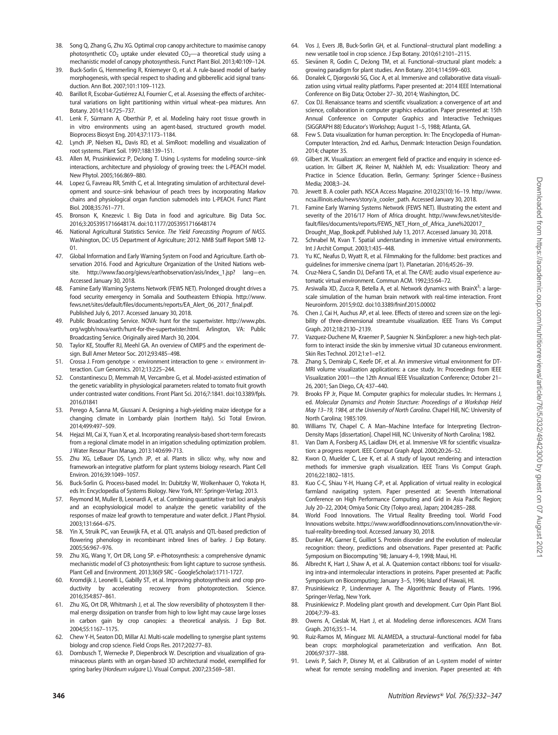- 38. Song Q, Zhang G, Zhu XG. Optimal crop canopy architecture to maximise canopy photosynthetic  $CO<sub>2</sub>$  uptake under elevated  $CO<sub>2</sub>$ —a theoretical study using a mechanistic model of canopy photosynthesis. Funct Plant Biol. 2013;40:109–124.
- 39. Buck-Sorlin G, Hemmerling R, Kniemeyer O, et al. A rule-based model of barley morphogenesis, with special respect to shading and gibberellic acid signal transduction. Ann Bot. 2007;101:1109–1123.
- 40. Barillot R, Escobar-Gutiérrez AJ, Fournier C, et al. Assessing the effects of architectural variations on light partitioning within virtual wheat–pea mixtures. Ann Botany. 2014;114:725–737.
- 41. Lenk F, Sürmann A, Oberthür P, et al. Modeling hairy root tissue growth in in vitro environments using an agent-based, structured growth model. Bioprocess Biosyst Eng. 2014;37:1173–1184.
- 42. Lynch JP, Nielsen KL, Davis RD, et al. SimRoot: modelling and visualization of root systems. Plant Soil. 1997;188:139–151.
- 43. Allen M, Prusinkiewicz P, DeJong T. Using L-systems for modeling source–sink interactions, architecture and physiology of growing trees: the L-PEACH model. New Phytol. 2005;166:869–880.
- 44. Lopez G, Favreau RR, Smith C, et al. Integrating simulation of architectural development and source–sink behaviour of peach trees by incorporating Markov chains and physiological organ function submodels into L-PEACH. Funct Plant Biol. 2008;35:761–771.
- 45. Bronson K, Knezevic I. Big Data in food and agriculture. Big Data Soc. 2016;3:2053951716648174. doi:10.1177/2053951716648174
- 46. National Agricultural Statistics Service. *The Yield Forecasting Program of NASS*. Washington, DC: US Department of Agriculture; 2012. NMB Staff Report SMB 12- 01.
- 47. Global Information and Early Warning System on Food and Agriculture. Earth observation 2016. Food and Agriculture Organization of the United Nations website. http://www.fao.org/giews/earthobservation/asis/index\_1.jsp? lang=en. Accessed January 30, 2018.
- 48. Famine Early Warning Systems Network (FEWS NET). Prolonged drought drives a food security emergency in Somalia and Southeastern Ethiopia. http://www. fews.net/sites/default/files/documents/reports/EA\_Alert\_06\_2017\_final.pdf. Published July 6, 2017. Accessed January 30, 2018.
- Public Broadcasting Service. NOVA: hunt for the supertwister. http://www.pbs. org/wgbh/nova/earth/hunt-for-the-supertwister.html. Arlington, VA: Public Broadcasting Service. Originally aired March 30, 2004.
- 50. Taylor KE, Stouffer RJ, Meehl GA. An overview of CMIP5 and the experiment design. Bull Amer Meteor Soc. 2012;93:485–498.
- 51. Crossa J. From genotype  $\times$  environment interaction to gene  $\times$  environment interaction. Curr Genomics. 2012;13:225–244.
- 52. Constantinescu D, Memmah M, Vercambre G, et al. Model-assisted estimation of the genetic variability in physiological parameters related to tomato fruit growth under contrasted water conditions. Front Plant Sci. 2016;7:1841. doi:10.3389/fpls. 2016.01841
- 53. Perego A, Sanna M, Giussani A. Designing a high-yielding maize ideotype for a changing climate in Lombardy plain (northern Italy). Sci Total Environ. 2014;499:497–509.
- 54. Hejazi MI, Cai X, Yuan X, et al. Incorporating reanalysis-based short-term forecasts from a regional climate model in an irrigation scheduling optimization problem. J Water Resour Plan Manag. 2013:140:699-713.
- 55. Zhu XG, LeBauer DS, Lynch JP, et al. Plants in silico: why, why now and framework-an integrative platform for plant systems biology research. Plant Cell Environ. 2016;39:1049–1057.
- 56. Buck-Sorlin G. Process-based model. In: Dubitzky W, Wolkenhauer O, Yokota H, eds In: Encyclopedia of Systems Biology. New York, NY: Springer-Verlag; 2013.
- 57. Reymond M, Muller B, Leonardi A, et al. Combining quantitative trait loci analysis and an ecophysiological model to analyze the genetic variability of the responses of maize leaf growth to temperature and water deficit. J Plant Physiol. 2003;131:664–675.
- 58. Yin X, Struik PC, van Eeuwijk FA, et al. QTL analysis and QTL-based prediction of flowering phenology in recombinant inbred lines of barley. J Exp Botany. 2005;56:967–976.
- Zhu XG, Wang Y, Ort DR, Long SP. e-Photosynthesis: a comprehensive dynamic mechanistic model of C3 photosynthesis: from light capture to sucrose synthesis. Plant Cell and Environment*.* 2013;36(9 SRC - GoogleScholar):1711-1727.
- 60. Kromdijk J, Leonelli L, Gabilly ST, et al. Improving photosynthesis and crop productivity by accelerating recovery from photoprotection. Science. 2016;354:857–861.
- 61. Zhu XG, Ort DR, Whitmarsh J, et al. The slow reversibility of photosystem II thermal energy dissipation on transfer from high to low light may cause large losses in carbon gain by crop canopies: a theoretical analysis. J Exp Bot. 2004;55:1167–1175.
- 62. Chew Y-H, Seaton DD, Millar AJ. Multi-scale modelling to synergise plant systems biology and crop science. Field Crops Res. 2017;202:77–83.
- 63. Dornbusch T, Wernecke P, Diepenbrock W. Description and visualization of graminaceous plants with an organ-based 3D architectural model, exemplified for spring barley (*Hordeum vulgare* L). Visual Comput. 2007;23:569–581.
- 64. Vos J, Evers JB, Buck-Sorlin GH, et al. Functional–structural plant modelling: a new versatile tool in crop science. J Exp Botany. 2010;61:2101–2115.
- 65. Sievänen R, Godin C, DeJong TM, et al. Functional–structural plant models: a growing paradigm for plant studies. Ann Botany. 2014;114:599–603.
- 66. Donalek C, Djorgovski SG, Cioc A, et al. Immersive and collaborative data visualization using virtual reality platforms. Paper presented at: 2014 IEEE International Conference on Big Data; October 27–30, 2014; Washington, DC.
- 67. Cox DJ. Renaissance teams and scientific visualization: a convergence of art and science, collaboration in computer graphics education. Paper presented at: 15th Annual Conference on Computer Graphics and Interactive Techniques (SIGGRAPH 88) Educator's Workshop; August 1–5, 1988; Atlanta, GA.
- 68. Few S. Data visualization for human perception. In: The Encyclopedia of Human-Computer Interaction, 2nd ed. Aarhus, Denmark: Interaction Design Foundation. 2014; chapter 35.
- Gilbert JK. Visualization: an emergent field of practice and enquiry in science education. In: Gilbert JK, Reiner M, Nakhleh M, eds: Visualization: Theory and Practice in Science Education. Berlin, Germany: Springer Science+Business Media; 2008;3–24.
- 70. Jewett B. A cooler path. NSCA Access Magazine. 2010;23(10):16–19. http://www. ncsa.illinois.edu/news/story/a\_cooler\_path. Accessed January 30, 2018.
- 71. Famine Early Warning Systems Network (FEWS NET). Illustrating the extent and severity of the 2016/17 Horn of Africa drought. http://www.fews.net/sites/default/files/documents/reports/FEWS\_NET\_Horn\_of\_Africa\_June%202017\_ Drought\_Map\_Book.pdf. Published July 13, 2017. Accessed January 30, 2018.
- Schnabel M, Kvan T. Spatial understanding in immersive virtual environments. Int J Archit Comput. 2003;1:435–448.
- 73. Yu KC, Neafus D, Wyatt R, et al. Filmmaking for the fulldome: best practices and guidelines for immersive cinema (part 1). Planetarian. 2016;45:26–39.
- 74. Cruz-Niera C, Sandin DJ, DeFanti TA, et al. The CAVE: audio visual experience automatic virtual environment. Commun ACM. 1992;35:64–72.
- 75. Arsiwalla XD, Zucca R, Betella A, et al. Network dynamics with BrainX<sup>3</sup>: a largescale simulation of the human brain network with real-time interaction. Front Neuroinform. 2015;9:02. doi:10.3389/fninf.2015.00002
- 76. Chen J, Cai H, Auchus AP, et al. Ieee. Effects of stereo and screen size on the legibility of three-dimensional streamtube visualization. IEEE Trans Vis Comput Graph. 2012;18:2130–2139.
- 77. Vazquez-Duchene M, Kraemer P, Saugnier N. SkinExplorer: a new high-tech platform to interact inside the skin by immersive virtual 3D cutaneous environment. Skin Res Technol. 2012;1:e1–e12.
- 78. Zhang S, Demiralp C, Keefe DF, et al. An immersive virtual environment for DT-MRI volume visualization applications: a case study. In: Proceedings from IEEE Visualization 2001—the 12th Annual IEEE Visualization Conference; October 21– 26, 2001; San Diego, CA; 437–440.
- Brooks FP Jr, Pique M. Computer graphics for molecular studies. In: Hermans J, ed. *Molecular Dynamics and Protein Sturcture: Proceedings of a Workshop Held May 13–19, 1984, at the University of North Carolina*. Chapel Hill, NC: University of North Carolina; 1985:109.
- 80. Williams TV, Chapel C. A Man–Machine Interface for Interpreting Electron-Density Maps [dissertation]. Chapel Hill, NC: University of North Carolina; 1982.
- 81. Van Dam A, Forsberg AS, Laidlaw DH, et al. Immersive VR for scientific visualization: a progress report. IEEE Comput Graph Appl. 2000;20:26–52.
- 82. Kwon O, Muelder C, Lee K, et al. A study of layout rendering and interaction methods for immersive graph visualization. IEEE Trans Vis Comput Graph. 2016;22:1802–1815.
- 83. Kuo C-C, Shiau Y-H, Huang C-P, et al. Application of virtual reality in ecological farmland navigating system. Paper presented at: Seventh International Conference on High Performance Computing and Grid in Asia Pacific Region; July 20–22, 2004; Omiya Sonic City (Tokyo area), Japan; 2004:285–288.
- 84. World Food Innovations. The Virtual Reality Breeding tool. World Food Innovations website. https://www.worldfoodinnovations.com/innovation/the-virtual-reality-breeding-tool. Accessed January 30, 2018.
- 85. Dunker AK, Garner E, Guilliot S. Protein disorder and the evolution of molecular recognition: theory, predictions and observations. Paper presented at: Pacific Symposium on Biocomputing '98; January 4–9, 1998; Maui, HI.
- 86. Albrecht K, Hart J, Shaw A, et al. A. Quatemion contact ribbons: tool for visualizing intra-and intermolecular interactions in proteins. Paper presented at: Pacific Symposium on Biocomputing; January 3–5, 1996; Island of Hawaii, HI.
- 87. Prusinkiewicz P, Lindenmayer A. The Algorithmic Beauty of Plants. 1996. Springer-Verlag, New York.
- 88. Prusinkiewicz P. Modeling plant growth and development. Curr Opin Plant Biol. 2004;7:79–83.
- 89. Owens A, Cieslak M, Hart J, et al. Modeling dense inflorescences. ACM Trans Graph. 2016;35:1–14.
- 90. Ruiz-Ramos M, Mínguez MI. ALAMEDA, a structural-functional model for faba bean crops: morphological parameterization and verification. Ann Bot. 2006;97:377–388.
- Lewis P, Saich P, Disney M, et al. Calibration of an L-system model of winter wheat for remote sensing modelling and inversion. Paper presented at: 4th